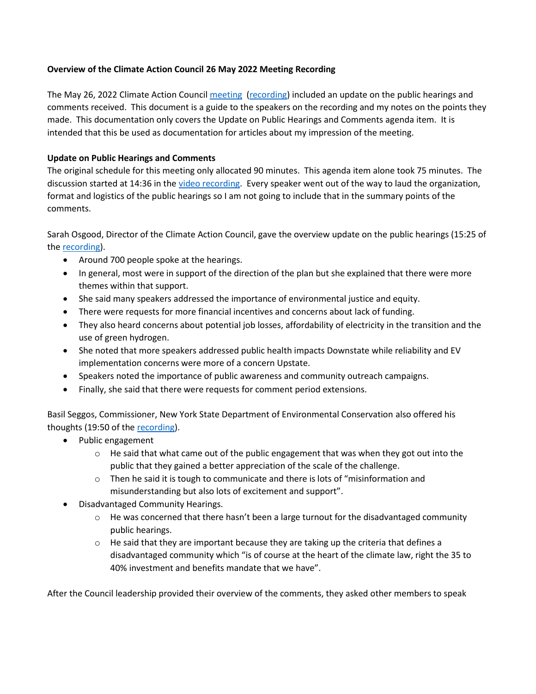## **Overview of the Climate Action Council 26 May 2022 Meeting Recording**

The May 26, 2022 Climate Action Counci[l meeting](https://climate.ny.gov/-/media/Project/Climate/Files/2022-05-26-CAC-Meeting.pdf) [\(recording\)](https://youtu.be/GmObEpzCGtg) included an update on the public hearings and comments received. This document is a guide to the speakers on the recording and my notes on the points they made. This documentation only covers the Update on Public Hearings and Comments agenda item. It is intended that this be used as documentation for articles about my impression of the meeting.

## **Update on Public Hearings and Comments**

The original schedule for this meeting only allocated 90 minutes. This agenda item alone took 75 minutes. The discussion started at 14:36 in the [video recording.](https://youtu.be/GmObEpzCGtg) Every speaker went out of the way to laud the organization, format and logistics of the public hearings so I am not going to include that in the summary points of the comments.

Sarah Osgood, Director of the Climate Action Council, gave the overview update on the public hearings (15:25 of the [recording\)](https://youtu.be/GmObEpzCGtg).

- Around 700 people spoke at the hearings.
- In general, most were in support of the direction of the plan but she explained that there were more themes within that support.
- She said many speakers addressed the importance of environmental justice and equity.
- There were requests for more financial incentives and concerns about lack of funding.
- They also heard concerns about potential job losses, affordability of electricity in the transition and the use of green hydrogen.
- She noted that more speakers addressed public health impacts Downstate while reliability and EV implementation concerns were more of a concern Upstate.
- Speakers noted the importance of public awareness and community outreach campaigns.
- Finally, she said that there were requests for comment period extensions.

Basil Seggos, Commissioner, New York State Department of Environmental Conservation also offered his thoughts (19:50 of th[e recording\)](https://youtu.be/GmObEpzCGtg).

- Public engagement
	- $\circ$  He said that what came out of the public engagement that was when they got out into the public that they gained a better appreciation of the scale of the challenge.
	- $\circ$  Then he said it is tough to communicate and there is lots of "misinformation and misunderstanding but also lots of excitement and support".
- Disadvantaged Community Hearings.
	- $\circ$  He was concerned that there hasn't been a large turnout for the disadvantaged community public hearings.
	- $\circ$  He said that they are important because they are taking up the criteria that defines a disadvantaged community which "is of course at the heart of the climate law, right the 35 to 40% investment and benefits mandate that we have".

After the Council leadership provided their overview of the comments, they asked other members to speak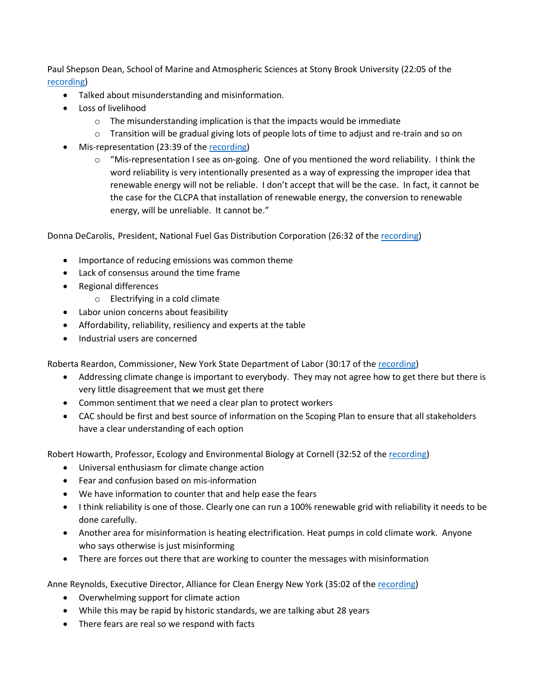Paul Shepson Dean, School of Marine and Atmospheric Sciences at Stony Brook University (22:05 of the [recording\)](https://youtu.be/GmObEpzCGtg)

- Talked about misunderstanding and misinformation.
- Loss of livelihood
	- $\circ$  The misunderstanding implication is that the impacts would be immediate
	- $\circ$  Transition will be gradual giving lots of people lots of time to adjust and re-train and so on
- Mis-representation (23:39 of the [recording\)](https://youtu.be/GmObEpzCGtg)
	- $\circ$  "Mis-representation I see as on-going. One of you mentioned the word reliability. I think the word reliability is very intentionally presented as a way of expressing the improper idea that renewable energy will not be reliable. I don't accept that will be the case. In fact, it cannot be the case for the CLCPA that installation of renewable energy, the conversion to renewable energy, will be unreliable. It cannot be."

Donna DeCarolis, President, National Fuel Gas Distribution Corporation (26:32 of the [recording\)](https://youtu.be/GmObEpzCGtg)

- Importance of reducing emissions was common theme
- Lack of consensus around the time frame
- Regional differences
	- o Electrifying in a cold climate
- Labor union concerns about feasibility
- Affordability, reliability, resiliency and experts at the table
- Industrial users are concerned

Roberta Reardon, Commissioner, New York State Department of Labor (30:17 of the [recording\)](https://youtu.be/GmObEpzCGtg)

- Addressing climate change is important to everybody. They may not agree how to get there but there is very little disagreement that we must get there
- Common sentiment that we need a clear plan to protect workers
- CAC should be first and best source of information on the Scoping Plan to ensure that all stakeholders have a clear understanding of each option

Robert Howarth, Professor, Ecology and Environmental Biology at Cornell (32:52 of th[e recording\)](https://youtu.be/GmObEpzCGtg)

- Universal enthusiasm for climate change action
- Fear and confusion based on mis-information
- We have information to counter that and help ease the fears
- I think reliability is one of those. Clearly one can run a 100% renewable grid with reliability it needs to be done carefully.
- Another area for misinformation is heating electrification. Heat pumps in cold climate work. Anyone who says otherwise is just misinforming
- There are forces out there that are working to counter the messages with misinformation

Anne Reynolds, Executive Director, Alliance for Clean Energy New York (35:02 of the [recording\)](https://youtu.be/GmObEpzCGtg)

- Overwhelming support for climate action
- While this may be rapid by historic standards, we are talking abut 28 years
- There fears are real so we respond with facts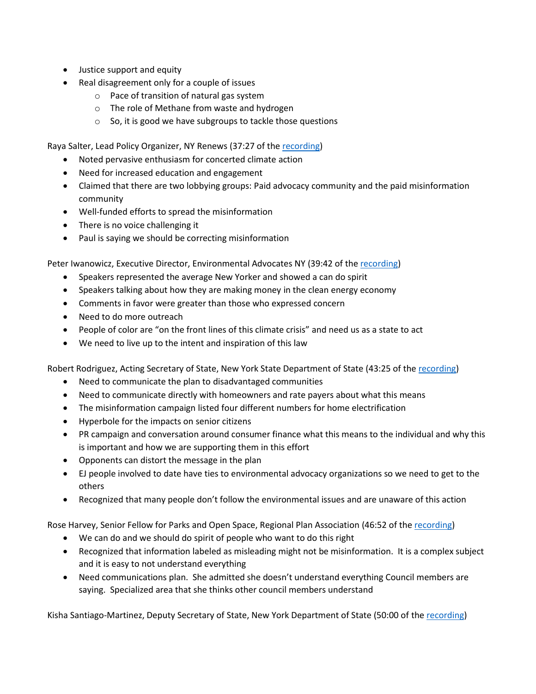- Justice support and equity
- Real disagreement only for a couple of issues
	- o Pace of transition of natural gas system
	- o The role of Methane from waste and hydrogen
	- o So, it is good we have subgroups to tackle those questions

Raya Salter, Lead Policy Organizer, NY Renews (37:27 of th[e recording\)](https://youtu.be/GmObEpzCGtg)

- Noted pervasive enthusiasm for concerted climate action
- Need for increased education and engagement
- Claimed that there are two lobbying groups: Paid advocacy community and the paid misinformation community
- Well-funded efforts to spread the misinformation
- There is no voice challenging it
- Paul is saying we should be correcting misinformation

Peter Iwanowicz, Executive Director, Environmental Advocates NY (39:42 of th[e recording\)](https://youtu.be/GmObEpzCGtg)

- Speakers represented the average New Yorker and showed a can do spirit
- Speakers talking about how they are making money in the clean energy economy
- Comments in favor were greater than those who expressed concern
- Need to do more outreach
- People of color are "on the front lines of this climate crisis" and need us as a state to act
- We need to live up to the intent and inspiration of this law

Robert Rodriguez, Acting Secretary of State, New York State Department of State (43:25 of the [recording\)](https://youtu.be/GmObEpzCGtg)

- Need to communicate the plan to disadvantaged communities
- Need to communicate directly with homeowners and rate payers about what this means
- The misinformation campaign listed four different numbers for home electrification
- Hyperbole for the impacts on senior citizens
- PR campaign and conversation around consumer finance what this means to the individual and why this is important and how we are supporting them in this effort
- Opponents can distort the message in the plan
- EJ people involved to date have ties to environmental advocacy organizations so we need to get to the others
- Recognized that many people don't follow the environmental issues and are unaware of this action

Rose Harvey, Senior Fellow for Parks and Open Space, Regional Plan Association (46:52 of th[e recording\)](https://youtu.be/GmObEpzCGtg)

- We can do and we should do spirit of people who want to do this right
- Recognized that information labeled as misleading might not be misinformation. It is a complex subject and it is easy to not understand everything
- Need communications plan. She admitted she doesn't understand everything Council members are saying. Specialized area that she thinks other council members understand

Kisha Santiago-Martinez, Deputy Secretary of State, New York Department of State (50:00 of the [recording\)](https://youtu.be/GmObEpzCGtg)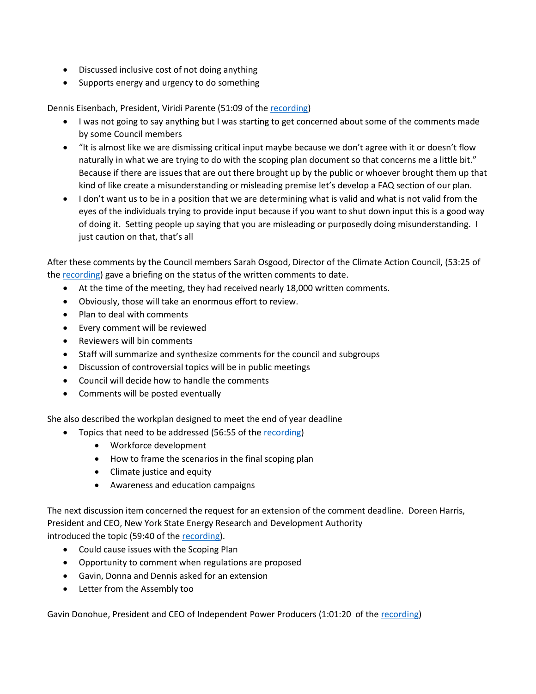- Discussed inclusive cost of not doing anything
- Supports energy and urgency to do something

Dennis Eisenbach, President, Viridi Parente (51:09 of the [recording\)](https://youtu.be/GmObEpzCGtg)

- I was not going to say anything but I was starting to get concerned about some of the comments made by some Council members
- "It is almost like we are dismissing critical input maybe because we don't agree with it or doesn't flow naturally in what we are trying to do with the scoping plan document so that concerns me a little bit." Because if there are issues that are out there brought up by the public or whoever brought them up that kind of like create a misunderstanding or misleading premise let's develop a FAQ section of our plan.
- I don't want us to be in a position that we are determining what is valid and what is not valid from the eyes of the individuals trying to provide input because if you want to shut down input this is a good way of doing it. Setting people up saying that you are misleading or purposedly doing misunderstanding. I just caution on that, that's all

After these comments by the Council members Sarah Osgood, Director of the Climate Action Council, (53:25 of the [recording\)](https://youtu.be/GmObEpzCGtg) gave a briefing on the status of the written comments to date.

- At the time of the meeting, they had received nearly 18,000 written comments.
- Obviously, those will take an enormous effort to review.
- Plan to deal with comments
- Every comment will be reviewed
- Reviewers will bin comments
- Staff will summarize and synthesize comments for the council and subgroups
- Discussion of controversial topics will be in public meetings
- Council will decide how to handle the comments
- Comments will be posted eventually

She also described the workplan designed to meet the end of year deadline

- Topics that need to be addressed (56:55 of the [recording\)](https://youtu.be/GmObEpzCGtg)
	- Workforce development
	- How to frame the scenarios in the final scoping plan
	- Climate justice and equity
	- Awareness and education campaigns

The next discussion item concerned the request for an extension of the comment deadline. Doreen Harris, President and CEO, New York State Energy Research and Development Authority introduced the topic (59:40 of the [recording\)](https://youtu.be/GmObEpzCGtg).

- Could cause issues with the Scoping Plan
- Opportunity to comment when regulations are proposed
- Gavin, Donna and Dennis asked for an extension
- Letter from the Assembly too

Gavin Donohue, President and CEO of Independent Power Producers (1:01:20 of the [recording\)](https://youtu.be/GmObEpzCGtg)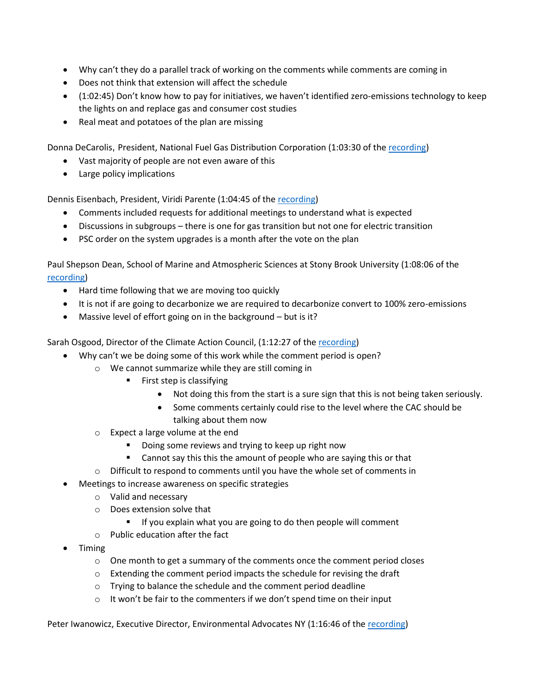- Why can't they do a parallel track of working on the comments while comments are coming in
- Does not think that extension will affect the schedule
- (1:02:45) Don't know how to pay for initiatives, we haven't identified zero-emissions technology to keep the lights on and replace gas and consumer cost studies
- Real meat and potatoes of the plan are missing

Donna DeCarolis, President, National Fuel Gas Distribution Corporation (1:03:30 of th[e recording\)](https://youtu.be/GmObEpzCGtg)

- Vast majority of people are not even aware of this
- Large policy implications

Dennis Eisenbach, President, Viridi Parente (1:04:45 of the [recording\)](https://youtu.be/GmObEpzCGtg)

- Comments included requests for additional meetings to understand what is expected
- Discussions in subgroups there is one for gas transition but not one for electric transition
- PSC order on the system upgrades is a month after the vote on the plan

Paul Shepson Dean, School of Marine and Atmospheric Sciences at Stony Brook University (1:08:06 of the [recording\)](https://youtu.be/GmObEpzCGtg)

- Hard time following that we are moving too quickly
- It is not if are going to decarbonize we are required to decarbonize convert to 100% zero-emissions
- Massive level of effort going on in the background but is it?

Sarah Osgood, Director of the Climate Action Council, (1:12:27 of the [recording\)](https://youtu.be/GmObEpzCGtg)

- Why can't we be doing some of this work while the comment period is open?
	- o We cannot summarize while they are still coming in
		- First step is classifying
			- Not doing this from the start is a sure sign that this is not being taken seriously.
			- Some comments certainly could rise to the level where the CAC should be talking about them now
	- o Expect a large volume at the end
		- Doing some reviews and trying to keep up right now
		- Cannot say this this the amount of people who are saying this or that
	- $\circ$  Difficult to respond to comments until you have the whole set of comments in
- Meetings to increase awareness on specific strategies
	- o Valid and necessary
	- o Does extension solve that
		- If you explain what you are going to do then people will comment
	- o Public education after the fact
- Timing
	- $\circ$  One month to get a summary of the comments once the comment period closes
	- o Extending the comment period impacts the schedule for revising the draft
	- $\circ$  Trying to balance the schedule and the comment period deadline
	- $\circ$  It won't be fair to the commenters if we don't spend time on their input

Peter Iwanowicz, Executive Director, Environmental Advocates NY (1:16:46 of the [recording\)](https://youtu.be/GmObEpzCGtg)